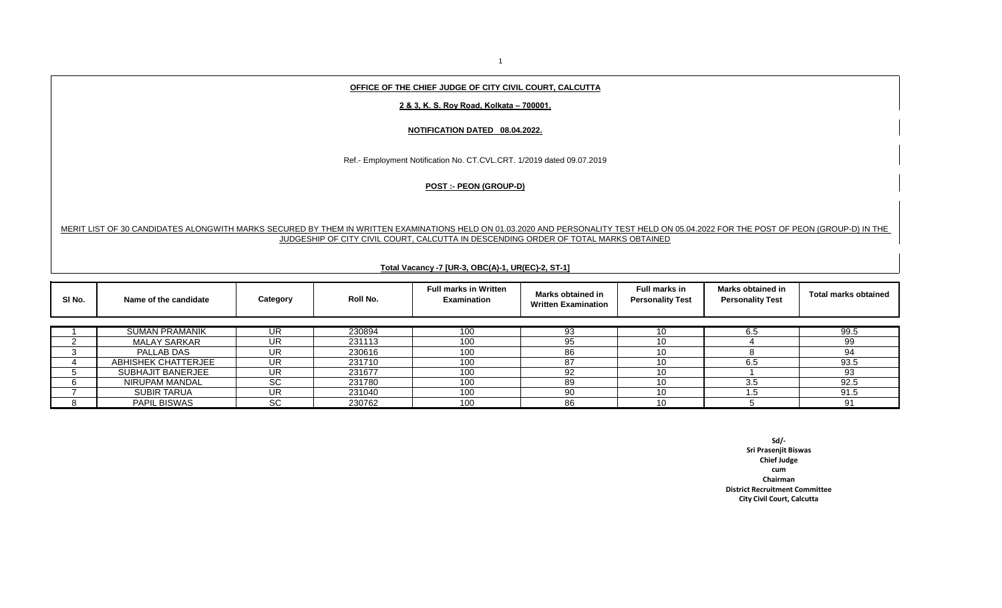## **OFFICE OF THE CHIEF JUDGE OF CITY CIVIL COURT, CALCUTTA**

### **2 & 3, K. S. Roy Road, Kolkata – 700001.**

#### **NOTIFICATION DATED 08.04.2022.**

Ref.- Employment Notification No. CT.CVL.CRT. 1/2019 dated 09.07.2019

# **POST :- PEON (GROUP-D)**

## MERIT LIST OF 30 CANDIDATES ALONGWITH MARKS SECURED BY THEM IN WRITTEN EXAMINATIONS HELD ON 01.03.2020 AND PERSONALITY TEST HELD ON 05.04.2022 FOR THE POST OF PEON (GROUP-D) IN THE JUDGESHIP OF CITY CIVIL COURT, CALCUTTA IN DESCENDING ORDER OF TOTAL MARKS OBTAINED

### **Total Vacancy -7 [UR-3, OBC(A)-1, UR(EC)-2, ST-1]**

| SI No. | Name of the candidate    | Category  | Roll No. | <b>Full marks in Written</b><br><b>Examination</b> | Marks obtained in<br><b>Written Examination</b> | Full marks in<br><b>Personality Test</b> | <b>Marks obtained in</b><br><b>Personality Test</b> | <b>Total marks obtained</b> |
|--------|--------------------------|-----------|----------|----------------------------------------------------|-------------------------------------------------|------------------------------------------|-----------------------------------------------------|-----------------------------|
|        |                          |           |          |                                                    |                                                 |                                          |                                                     |                             |
|        | <b>SUMAN PRAMANIK</b>    | UR        | 230894   | 100                                                | 93                                              |                                          | 6.5                                                 | 99.5                        |
|        | <b>MALAY SARKAR</b>      | UR        | 231113   | 100                                                | 95                                              | 10                                       |                                                     | 99                          |
|        | PALLAB DAS               | UR.       | 230616   | 100                                                | 86                                              | 10                                       |                                                     | 94                          |
|        | ABHISHEK CHATTERJEE      | UR        | 231710   | 100                                                | 87                                              | 10                                       | 6.5                                                 | 93.5                        |
|        | <b>SUBHAJIT BANERJEE</b> | UR        | 231677   | 100                                                | 92                                              | 10.                                      |                                                     | 93                          |
|        | NIRUPAM MANDAL           | <b>SC</b> | 231780   | 100                                                | 89                                              | 10.                                      | 3.5                                                 | 92.5                        |
|        | <b>SUBIR TARUA</b>       | UR.       | 231040   | 100                                                | 90                                              | 10                                       | .5                                                  | 91.5                        |
|        | <b>PAPIL BISWAS</b>      | <b>SC</b> | 230762   | 100                                                | 86                                              | 10.                                      |                                                     | 91                          |

**Sd/- Sri Prasenjit Biswas Chief Judge cum Chairman District Recruitment Committee City Civil Court, Calcutta**